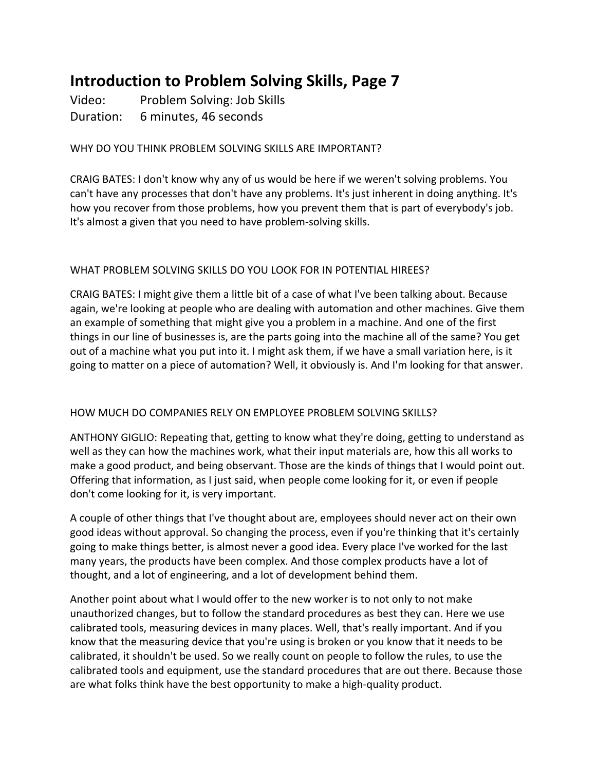# **Introduction to Problem Solving Skills, Page 7**

Video: Problem Solving: Job Skills Duration: 6 minutes, 46 seconds

## WHY DO YOU THINK PROBLEM SOLVING SKILLS ARE IMPORTANT?

CRAIG BATES: I don't know why any of us would be here if we weren't solving problems. You can't have any processes that don't have any problems. It's just inherent in doing anything. It's how you recover from those problems, how you prevent them that is part of everybody's job. It's almost a given that you need to have problem-solving skills.

## WHAT PROBLEM SOLVING SKILLS DO YOU LOOK FOR IN POTENTIAL HIREES?

CRAIG BATES: I might give them a little bit of a case of what I've been talking about. Because again, we're looking at people who are dealing with automation and other machines. Give them an example of something that might give you a problem in a machine. And one of the first things in our line of businesses is, are the parts going into the machine all of the same? You get out of a machine what you put into it. I might ask them, if we have a small variation here, is it going to matter on a piece of automation? Well, it obviously is. And I'm looking for that answer.

### HOW MUCH DO COMPANIES RELY ON EMPLOYEE PROBLEM SOLVING SKILLS?

ANTHONY GIGLIO: Repeating that, getting to know what they're doing, getting to understand as well as they can how the machines work, what their input materials are, how this all works to make a good product, and being observant. Those are the kinds of things that I would point out. Offering that information, as I just said, when people come looking for it, or even if people don't come looking for it, is very important.

A couple of other things that I've thought about are, employees should never act on their own good ideas without approval. So changing the process, even if you're thinking that it's certainly going to make things better, is almost never a good idea. Every place I've worked for the last many years, the products have been complex. And those complex products have a lot of thought, and a lot of engineering, and a lot of development behind them.

Another point about what I would offer to the new worker is to not only to not make unauthorized changes, but to follow the standard procedures as best they can. Here we use calibrated tools, measuring devices in many places. Well, that's really important. And if you know that the measuring device that you're using is broken or you know that it needs to be calibrated, it shouldn't be used. So we really count on people to follow the rules, to use the calibrated tools and equipment, use the standard procedures that are out there. Because those are what folks think have the best opportunity to make a high-quality product.